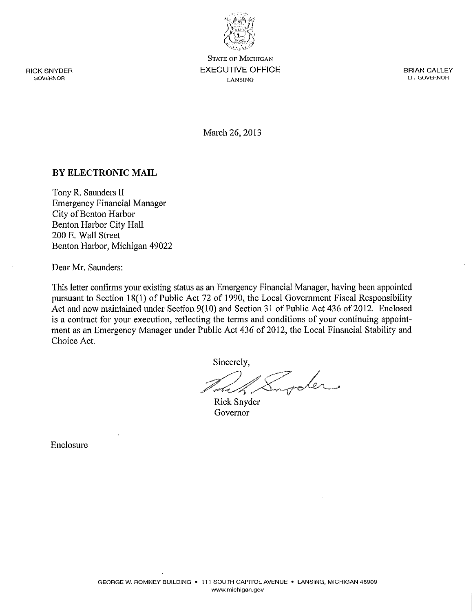

**STATE OF MICHIGAN EXECUTIVE OFFICE LANSING** 

**BRIAN CALLEY** LT. GOVERNOR

March 26, 2013

### BY ELECTRONIC MAIL

Tony R. Saunders II **Emergency Financial Manager** City of Benton Harbor **Benton Harbor City Hall** 200 E. Wall Street Benton Harbor, Michigan 49022

Dear Mr. Saunders:

This letter confirms your existing status as an Emergency Financial Manager, having been appointed pursuant to Section 18(1) of Public Act 72 of 1990, the Local Government Fiscal Responsibility Act and now maintained under Section 9(10) and Section 31 of Public Act 436 of 2012. Enclosed is a contract for your execution, reflecting the terms and conditions of your continuing appointment as an Emergency Manager under Public Act 436 of 2012, the Local Financial Stability and Choice Act.

Sincerely,

inder

Rick Snyder Governor

Enclosure

**RICK SNYDER GOVERNOR**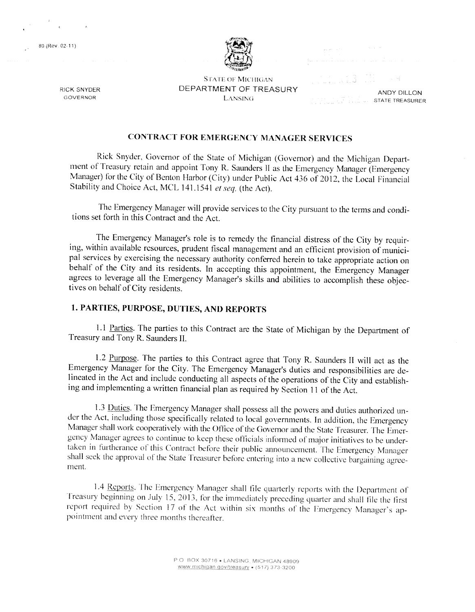89 (Rev. 02-11)

**RICK SNYDER** 

GOVERNOR



**STATE OF MICHIGAN** DEPARTMENT OF TREASURY **LANSING** 

ANDY DILLON **STATE TREASURER** 

# **CONTRACT FOR EMERGENCY MANAGER SERVICES**

Rick Snyder, Governor of the State of Michigan (Governor) and the Michigan Department of Treasury retain and appoint Tony R. Saunders II as the Emergency Manager (Emergency Manager) for the City of Benton Harbor (City) under Public Act 436 of 2012, the Local Financial Stability and Choice Act, MCL 141.1541 et seq, (the Act).

The Emergency Manager will provide services to the City pursuant to the terms and conditions set forth in this Contract and the Act.

The Emergency Manager's role is to remedy the financial distress of the City by requiring, within available resources, prudent fiscal management and an efficient provision of municipal services by exercising the necessary authority conferred herein to take appropriate action on behalf of the City and its residents. In accepting this appointment, the Emergency Manager agrees to leverage all the Emergency Manager's skills and abilities to accomplish these objectives on behalf of City residents.

### 1. PARTIES, PURPOSE, DUTIES, AND REPORTS

1.1 Parties. The parties to this Contract are the State of Michigan by the Department of Treasury and Tony R. Saunders II.

1.2 Purpose. The parties to this Contract agree that Tony R. Saunders II will act as the Emergency Manager for the City. The Emergency Manager's duties and responsibilities are delineated in the Act and include conducting all aspects of the operations of the City and establishing and implementing a written financial plan as required by Section 11 of the Act.

1.3 Duties. The Emergency Manager shall possess all the powers and duties authorized under the Act, including those specifically related to local governments. In addition, the Emergency Manager shall work cooperatively with the Office of the Governor and the State Treasurer. The Emergency Manager agrees to continue to keep these officials informed of major initiatives to be undertaken in furtherance of this Contract before their public announcement. The Emergency Manager shall seek the approval of the State Treasurer before entering into a new collective bargaining agreement.

1.4 Reports. The Emergency Manager shall file quarterly reports with the Department of Treasury beginning on July 15, 2013, for the immediately preceding quarter and shall file the first report required by Section 17 of the Act within six months of the Emergency Manager's appointment and every three months thereafter.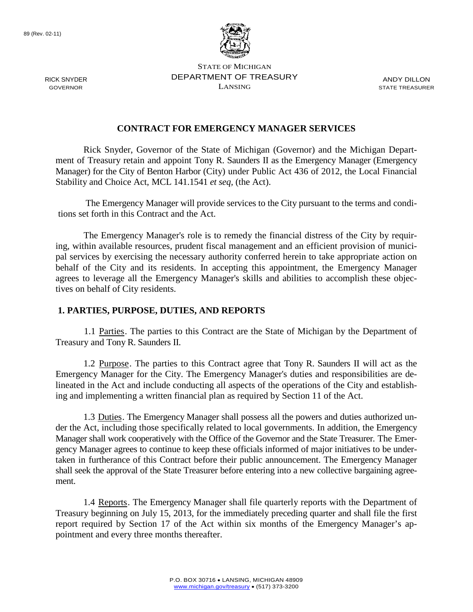

STATE OF MICHIGAN DEPARTMENT OF TREASURY LANSING

ANDY DILLON STATE TREASURER

### **CONTRACT FOR EMERGENCY MANAGER SERVICES**

Rick Snyder, Governor of the State of Michigan (Governor) and the Michigan Department of Treasury retain and appoint Tony R. Saunders II as the Emergency Manager (Emergency Manager) for the City of Benton Harbor (City) under Public Act 436 of 2012, the Local Financial Stability and Choice Act, MCL 141.1541 *et seq,* (the Act).

The Emergency Manager will provide services to the City pursuant to the terms and conditions set forth in this Contract and the Act.

The Emergency Manager's role is to remedy the financial distress of the City by requiring, within available resources, prudent fiscal management and an efficient provision of municipal services by exercising the necessary authority conferred herein to take appropriate action on behalf of the City and its residents. In accepting this appointment, the Emergency Manager agrees to leverage all the Emergency Manager's skills and abilities to accomplish these objectives on behalf of City residents.

#### **1. PARTIES, PURPOSE, DUTIES, AND REPORTS**

1.1 Parties. The parties to this Contract are the State of Michigan by the Department of Treasury and Tony R. Saunders II.

1.2 Purpose. The parties to this Contract agree that Tony R. Saunders II will act as the Emergency Manager for the City. The Emergency Manager's duties and responsibilities are delineated in the Act and include conducting all aspects of the operations of the City and establishing and implementing a written financial plan as required by Section 11 of the Act.

1.3 Duties. The Emergency Manager shall possess all the powers and duties authorized under the Act, including those specifically related to local governments. In addition, the Emergency Manager shall work cooperatively with the Office of the Governor and the State Treasurer. The Emergency Manager agrees to continue to keep these officials informed of major initiatives to be undertaken in furtherance of this Contract before their public announcement. The Emergency Manager shall seek the approval of the State Treasurer before entering into a new collective bargaining agreement.

1.4 Reports. The Emergency Manager shall file quarterly reports with the Department of Treasury beginning on July 15, 2013, for the immediately preceding quarter and shall file the first report required by Section 17 of the Act within six months of the Emergency Manager's appointment and every three months thereafter.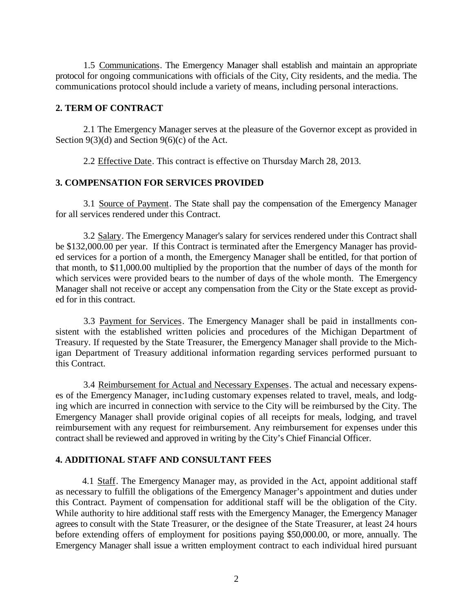1.5 Communications. The Emergency Manager shall establish and maintain an appropriate protocol for ongoing communications with officials of the City, City residents, and the media. The communications protocol should include a variety of means, including personal interactions.

### **2. TERM OF CONTRACT**

2.1 The Emergency Manager serves at the pleasure of the Governor except as provided in Section 9(3)(d) and Section 9(6)(c) of the Act.

2.2 Effective Date. This contract is effective on Thursday March 28, 2013.

#### **3. COMPENSATION FOR SERVICES PROVIDED**

3.1 Source of Payment. The State shall pay the compensation of the Emergency Manager for all services rendered under this Contract.

3.2 Salary. The Emergency Manager's salary for services rendered under this Contract shall be \$132,000.00 per year. If this Contract is terminated after the Emergency Manager has provided services for a portion of a month, the Emergency Manager shall be entitled, for that portion of that month, to \$11,000.00 multiplied by the proportion that the number of days of the month for which services were provided bears to the number of days of the whole month. The Emergency Manager shall not receive or accept any compensation from the City or the State except as provided for in this contract.

3.3 Payment for Services. The Emergency Manager shall be paid in installments consistent with the established written policies and procedures of the Michigan Department of Treasury. If requested by the State Treasurer, the Emergency Manager shall provide to the Michigan Department of Treasury additional information regarding services performed pursuant to this Contract.

3.4 Reimbursement for Actual and Necessary Expenses. The actual and necessary expenses of the Emergency Manager, inc1uding customary expenses related to travel, meals, and lodging which are incurred in connection with service to the City will be reimbursed by the City. The Emergency Manager shall provide original copies of all receipts for meals, lodging, and travel reimbursement with any request for reimbursement. Any reimbursement for expenses under this contract shall be reviewed and approved in writing by the City's Chief Financial Officer.

#### **4. ADDITIONAL STAFF AND CONSULTANT FEES**

4.1 Staff. The Emergency Manager may, as provided in the Act, appoint additional staff as necessary to fulfill the obligations of the Emergency Manager's appointment and duties under this Contract. Payment of compensation for additional staff will be the obligation of the City. While authority to hire additional staff rests with the Emergency Manager, the Emergency Manager agrees to consult with the State Treasurer, or the designee of the State Treasurer, at least 24 hours before extending offers of employment for positions paying \$50,000.00, or more, annually. The Emergency Manager shall issue a written employment contract to each individual hired pursuant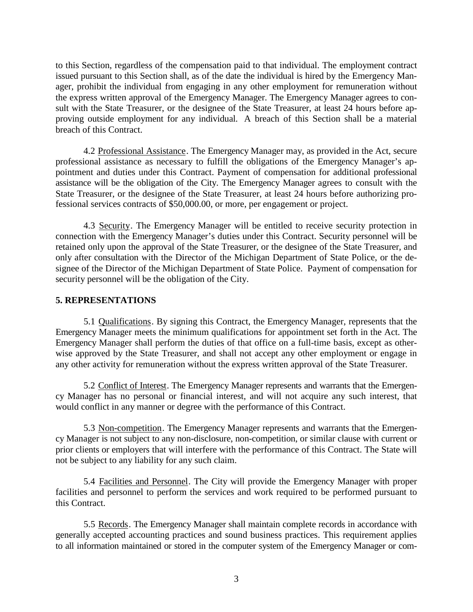to this Section, regardless of the compensation paid to that individual. The employment contract issued pursuant to this Section shall, as of the date the individual is hired by the Emergency Manager, prohibit the individual from engaging in any other employment for remuneration without the express written approval of the Emergency Manager. The Emergency Manager agrees to consult with the State Treasurer, or the designee of the State Treasurer, at least 24 hours before approving outside employment for any individual. A breach of this Section shall be a material breach of this Contract.

4.2 Professional Assistance. The Emergency Manager may, as provided in the Act, secure professional assistance as necessary to fulfill the obligations of the Emergency Manager's appointment and duties under this Contract. Payment of compensation for additional professional assistance will be the obligation of the City. The Emergency Manager agrees to consult with the State Treasurer, or the designee of the State Treasurer, at least 24 hours before authorizing professional services contracts of \$50,000.00, or more, per engagement or project.

4.3 Security. The Emergency Manager will be entitled to receive security protection in connection with the Emergency Manager's duties under this Contract. Security personnel will be retained only upon the approval of the State Treasurer, or the designee of the State Treasurer, and only after consultation with the Director of the Michigan Department of State Police, or the designee of the Director of the Michigan Department of State Police. Payment of compensation for security personnel will be the obligation of the City.

### **5. REPRESENTATIONS**

5.1 Qualifications. By signing this Contract, the Emergency Manager, represents that the Emergency Manager meets the minimum qualifications for appointment set forth in the Act. The Emergency Manager shall perform the duties of that office on a full-time basis, except as otherwise approved by the State Treasurer, and shall not accept any other employment or engage in any other activity for remuneration without the express written approval of the State Treasurer.

5.2 Conflict of Interest. The Emergency Manager represents and warrants that the Emergency Manager has no personal or financial interest, and will not acquire any such interest, that would conflict in any manner or degree with the performance of this Contract.

5.3 Non-competition. The Emergency Manager represents and warrants that the Emergency Manager is not subject to any non-disclosure, non-competition, or similar clause with current or prior clients or employers that will interfere with the performance of this Contract. The State will not be subject to any liability for any such claim.

5.4 Facilities and Personnel. The City will provide the Emergency Manager with proper facilities and personnel to perform the services and work required to be performed pursuant to this Contract.

5.5 Records. The Emergency Manager shall maintain complete records in accordance with generally accepted accounting practices and sound business practices. This requirement applies to all information maintained or stored in the computer system of the Emergency Manager or com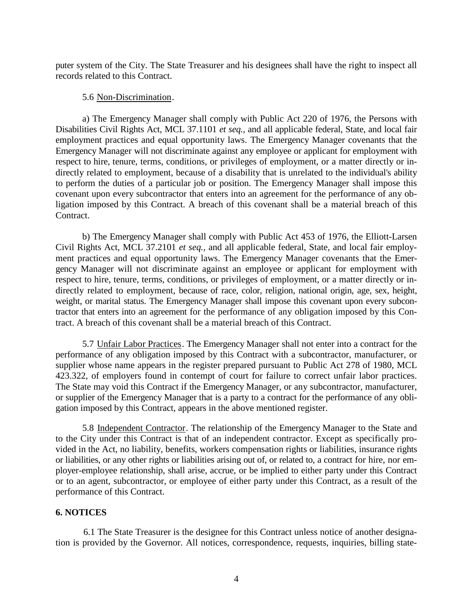puter system of the City. The State Treasurer and his designees shall have the right to inspect all records related to this Contract.

#### 5.6 Non-Discrimination.

a) The Emergency Manager shall comply with Public Act 220 of 1976, the Persons with Disabilities Civil Rights Act, MCL 37.1101 *et seq.,* and all applicable federal, State, and local fair employment practices and equal opportunity laws. The Emergency Manager covenants that the Emergency Manager will not discriminate against any employee or applicant for employment with respect to hire, tenure, terms, conditions, or privileges of employment, or a matter directly or indirectly related to employment, because of a disability that is unrelated to the individual's ability to perform the duties of a particular job or position. The Emergency Manager shall impose this covenant upon every subcontractor that enters into an agreement for the performance of any obligation imposed by this Contract. A breach of this covenant shall be a material breach of this Contract.

b) The Emergency Manager shall comply with Public Act 453 of 1976, the Elliott-Larsen Civil Rights Act, MCL 37.2101 *et seq.,* and all applicable federal, State, and local fair employment practices and equal opportunity laws. The Emergency Manager covenants that the Emergency Manager will not discriminate against an employee or applicant for employment with respect to hire, tenure, terms, conditions, or privileges of employment, or a matter directly or indirectly related to employment, because of race, color, religion, national origin, age, sex, height, weight, or marital status. The Emergency Manager shall impose this covenant upon every subcontractor that enters into an agreement for the performance of any obligation imposed by this Contract. A breach of this covenant shall be a material breach of this Contract.

5.7 Unfair Labor Practices. The Emergency Manager shall not enter into a contract for the performance of any obligation imposed by this Contract with a subcontractor, manufacturer, or supplier whose name appears in the register prepared pursuant to Public Act 278 of 1980, MCL 423.322, of employers found in contempt of court for failure to correct unfair labor practices. The State may void this Contract if the Emergency Manager, or any subcontractor, manufacturer, or supplier of the Emergency Manager that is a party to a contract for the performance of any obligation imposed by this Contract, appears in the above mentioned register.

5.8 Independent Contractor. The relationship of the Emergency Manager to the State and to the City under this Contract is that of an independent contractor. Except as specifically provided in the Act, no liability, benefits, workers compensation rights or liabilities, insurance rights or liabilities, or any other rights or liabilities arising out of, or related to, a contract for hire, nor employer-employee relationship, shall arise, accrue, or be implied to either party under this Contract or to an agent, subcontractor, or employee of either party under this Contract, as a result of the performance of this Contract.

### **6. NOTICES**

6.1 The State Treasurer is the designee for this Contract unless notice of another designation is provided by the Governor. All notices, correspondence, requests, inquiries, billing state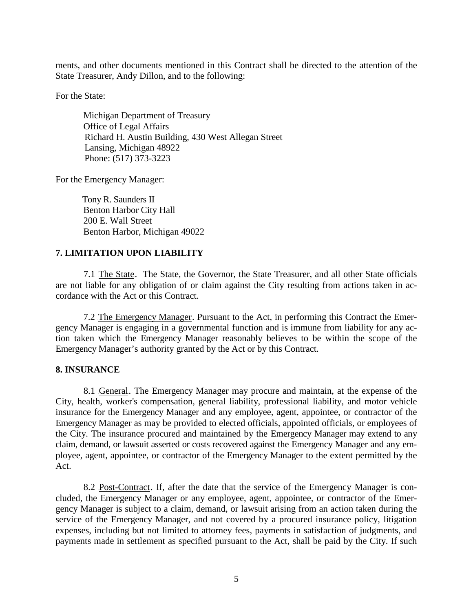ments, and other documents mentioned in this Contract shall be directed to the attention of the State Treasurer, Andy Dillon, and to the following:

For the State:

Michigan Department of Treasury Office of Legal Affairs Richard H. Austin Building, 430 West Allegan Street Lansing, Michigan 48922 Phone: (517) 373-3223

For the Emergency Manager:

Tony R. Saunders II Benton Harbor City Hall 200 E. Wall Street Benton Harbor, Michigan 49022

## **7. LIMITATION UPON LIABILITY**

7.1 The State. The State, the Governor, the State Treasurer, and all other State officials are not liable for any obligation of or claim against the City resulting from actions taken in accordance with the Act or this Contract.

7.2 The Emergency Manager. Pursuant to the Act, in performing this Contract the Emergency Manager is engaging in a governmental function and is immune from liability for any action taken which the Emergency Manager reasonably believes to be within the scope of the Emergency Manager's authority granted by the Act or by this Contract.

### **8. INSURANCE**

8.1 General. The Emergency Manager may procure and maintain, at the expense of the City, health, worker's compensation, general liability, professional liability, and motor vehicle insurance for the Emergency Manager and any employee, agent, appointee, or contractor of the Emergency Manager as may be provided to elected officials, appointed officials, or employees of the City. The insurance procured and maintained by the Emergency Manager may extend to any claim, demand, or lawsuit asserted or costs recovered against the Emergency Manager and any employee, agent, appointee, or contractor of the Emergency Manager to the extent permitted by the Act.

8.2 Post-Contract. If, after the date that the service of the Emergency Manager is concluded, the Emergency Manager or any employee, agent, appointee, or contractor of the Emergency Manager is subject to a claim, demand, or lawsuit arising from an action taken during the service of the Emergency Manager, and not covered by a procured insurance policy, litigation expenses, including but not limited to attorney fees, payments in satisfaction of judgments, and payments made in settlement as specified pursuant to the Act, shall be paid by the City. If such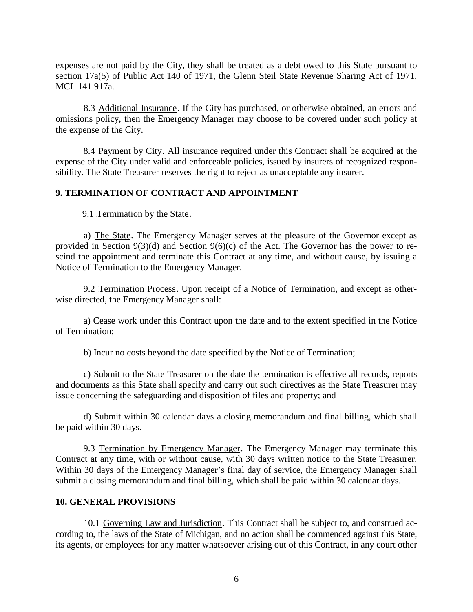expenses are not paid by the City, they shall be treated as a debt owed to this State pursuant to section 17a(5) of Public Act 140 of 1971, the Glenn Steil State Revenue Sharing Act of 1971, MCL 141.917a.

8.3 Additional Insurance. If the City has purchased, or otherwise obtained, an errors and omissions policy, then the Emergency Manager may choose to be covered under such policy at the expense of the City.

8.4 Payment by City. All insurance required under this Contract shall be acquired at the expense of the City under valid and enforceable policies, issued by insurers of recognized responsibility. The State Treasurer reserves the right to reject as unacceptable any insurer.

### **9. TERMINATION OF CONTRACT AND APPOINTMENT**

9.1 Termination by the State.

a) The State. The Emergency Manager serves at the pleasure of the Governor except as provided in Section 9(3)(d) and Section 9(6)(c) of the Act. The Governor has the power to rescind the appointment and terminate this Contract at any time, and without cause, by issuing a Notice of Termination to the Emergency Manager.

9.2 Termination Process. Upon receipt of a Notice of Termination, and except as otherwise directed, the Emergency Manager shall:

a) Cease work under this Contract upon the date and to the extent specified in the Notice of Termination;

b) Incur no costs beyond the date specified by the Notice of Termination;

c) Submit to the State Treasurer on the date the termination is effective all records, reports and documents as this State shall specify and carry out such directives as the State Treasurer may issue concerning the safeguarding and disposition of files and property; and

d) Submit within 30 calendar days a closing memorandum and final billing, which shall be paid within 30 days.

9.3 Termination by Emergency Manager. The Emergency Manager may terminate this Contract at any time, with or without cause, with 30 days written notice to the State Treasurer. Within 30 days of the Emergency Manager's final day of service, the Emergency Manager shall submit a closing memorandum and final billing, which shall be paid within 30 calendar days.

### **10. GENERAL PROVISIONS**

10.1 Governing Law and Jurisdiction. This Contract shall be subject to, and construed according to, the laws of the State of Michigan, and no action shall be commenced against this State, its agents, or employees for any matter whatsoever arising out of this Contract, in any court other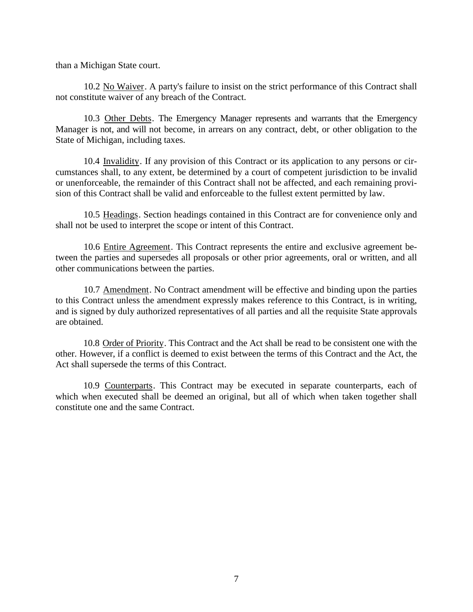than a Michigan State court.

10.2 No Waiver. A party's failure to insist on the strict performance of this Contract shall not constitute waiver of any breach of the Contract.

10.3 Other Debts. The Emergency Manager represents and warrants that the Emergency Manager is not, and will not become, in arrears on any contract, debt, or other obligation to the State of Michigan, including taxes.

10.4 Invalidity. If any provision of this Contract or its application to any persons or circumstances shall, to any extent, be determined by a court of competent jurisdiction to be invalid or unenforceable, the remainder of this Contract shall not be affected, and each remaining provision of this Contract shall be valid and enforceable to the fullest extent permitted by law.

10.5 Headings. Section headings contained in this Contract are for convenience only and shall not be used to interpret the scope or intent of this Contract.

10.6 Entire Agreement. This Contract represents the entire and exclusive agreement between the parties and supersedes all proposals or other prior agreements, oral or written, and all other communications between the parties.

10.7 Amendment. No Contract amendment will be effective and binding upon the parties to this Contract unless the amendment expressly makes reference to this Contract, is in writing, and is signed by duly authorized representatives of all parties and all the requisite State approvals are obtained.

10.8 Order of Priority. This Contract and the Act shall be read to be consistent one with the other. However, if a conflict is deemed to exist between the terms of this Contract and the Act, the Act shall supersede the terms of this Contract.

10.9 Counterparts. This Contract may be executed in separate counterparts, each of which when executed shall be deemed an original, but all of which when taken together shall constitute one and the same Contract.